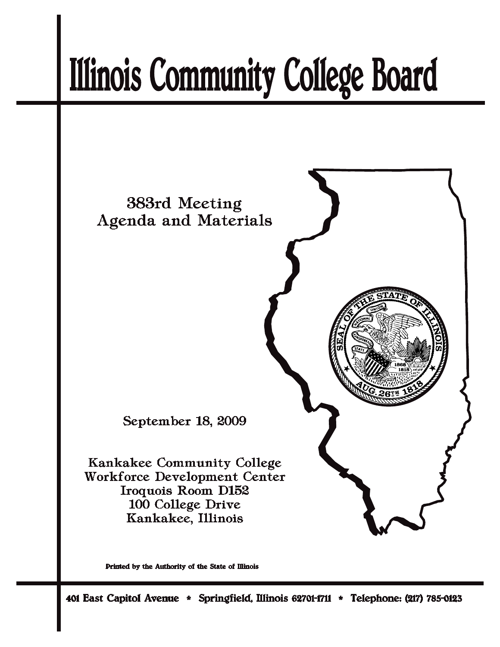# **Illinois Community College Board**



Printed by the Authority of the State of Illinois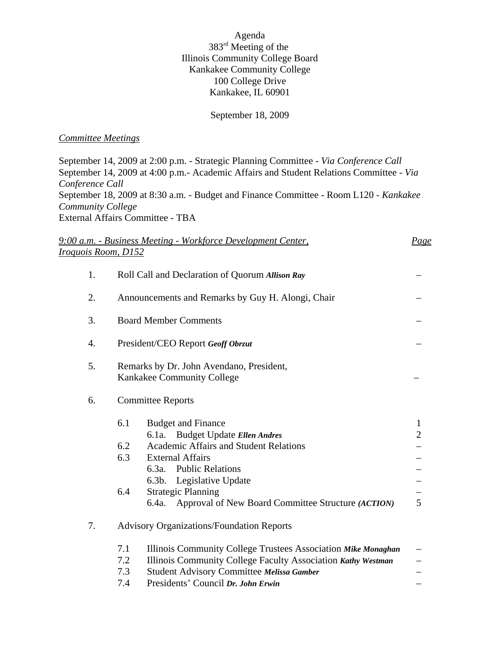Agenda 383rd Meeting of the Illinois Community College Board Kankakee Community College 100 College Drive Kankakee, IL 60901

### September 18, 2009

### *Committee Meetings*

September 14, 2009 at 2:00 p.m. - Strategic Planning Committee - *Via Conference Call* September 14, 2009 at 4:00 p.m.- Academic Affairs and Student Relations Committee - *Via Conference Call* September 18, 2009 at 8:30 a.m. - Budget and Finance Committee - Room L120 - *Kankakee Community College* External Affairs Committee - TBA

|                     | 9:00 a.m. - Business Meeting - Workforce Development Center,                                                                                                                                                                                                                                                             | <u>Page</u>                         |  |  |  |  |  |  |  |
|---------------------|--------------------------------------------------------------------------------------------------------------------------------------------------------------------------------------------------------------------------------------------------------------------------------------------------------------------------|-------------------------------------|--|--|--|--|--|--|--|
| Iroquois Room, D152 |                                                                                                                                                                                                                                                                                                                          |                                     |  |  |  |  |  |  |  |
| 1.                  | Roll Call and Declaration of Quorum Allison Ray                                                                                                                                                                                                                                                                          |                                     |  |  |  |  |  |  |  |
| 2.                  | Announcements and Remarks by Guy H. Alongi, Chair                                                                                                                                                                                                                                                                        |                                     |  |  |  |  |  |  |  |
| 3.                  | <b>Board Member Comments</b>                                                                                                                                                                                                                                                                                             |                                     |  |  |  |  |  |  |  |
| 4.                  | President/CEO Report Geoff Obrzut                                                                                                                                                                                                                                                                                        |                                     |  |  |  |  |  |  |  |
| 5.                  | Remarks by Dr. John Avendano, President,<br>Kankakee Community College                                                                                                                                                                                                                                                   |                                     |  |  |  |  |  |  |  |
| 6.                  | <b>Committee Reports</b>                                                                                                                                                                                                                                                                                                 |                                     |  |  |  |  |  |  |  |
|                     | 6.1<br><b>Budget and Finance</b><br>Budget Update Ellen Andres<br>6.1a<br>6.2<br>Academic Affairs and Student Relations<br>6.3<br><b>External Affairs</b><br>6.3a. Public Relations<br>Legislative Update<br>$6.3b$ .<br>6.4<br><b>Strategic Planning</b><br>Approval of New Board Committee Structure (ACTION)<br>6.4a. | $\mathbf{1}$<br>$\overline{2}$<br>5 |  |  |  |  |  |  |  |
| 7.                  | <b>Advisory Organizations/Foundation Reports</b><br>7.1<br>Illinois Community College Trustees Association Mike Monaghan<br>Illinois Community College Faculty Association Kathy Westman<br>7.2<br>7.3<br>Student Advisory Committee Melissa Gamber<br>Presidents' Council Dr. John Erwin<br>7.4                         |                                     |  |  |  |  |  |  |  |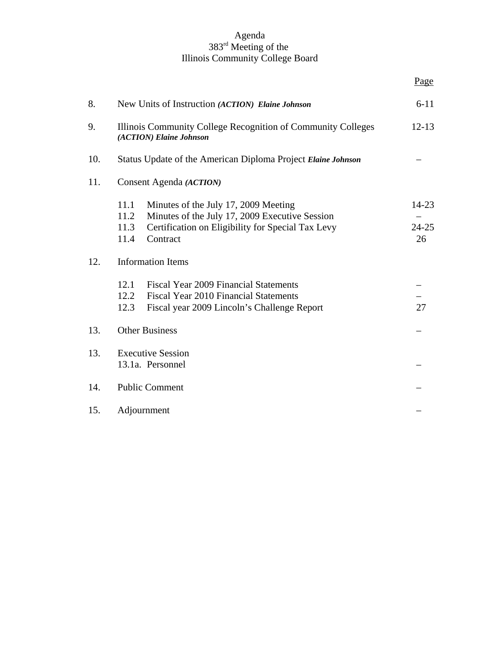#### Agenda 383rd Meeting of the Illinois Community College Board

| 8.  | $6 - 11$<br>New Units of Instruction (ACTION) Elaine Johnson                                                                                                                            |                          |  |  |  |  |  |  |  |
|-----|-----------------------------------------------------------------------------------------------------------------------------------------------------------------------------------------|--------------------------|--|--|--|--|--|--|--|
| 9.  | Illinois Community College Recognition of Community Colleges<br>$12 - 13$<br>(ACTION) Elaine Johnson                                                                                    |                          |  |  |  |  |  |  |  |
| 10. | Status Update of the American Diploma Project Elaine Johnson                                                                                                                            |                          |  |  |  |  |  |  |  |
| 11. | Consent Agenda (ACTION)                                                                                                                                                                 |                          |  |  |  |  |  |  |  |
|     | 11.1<br>Minutes of the July 17, 2009 Meeting<br>Minutes of the July 17, 2009 Executive Session<br>11.2<br>Certification on Eligibility for Special Tax Levy<br>11.3<br>Contract<br>11.4 | 14-23<br>$24 - 25$<br>26 |  |  |  |  |  |  |  |
| 12. | <b>Information Items</b>                                                                                                                                                                |                          |  |  |  |  |  |  |  |
|     | 12.1<br>Fiscal Year 2009 Financial Statements<br>12.2<br><b>Fiscal Year 2010 Financial Statements</b><br>12.3<br>Fiscal year 2009 Lincoln's Challenge Report                            | 27                       |  |  |  |  |  |  |  |
| 13. | <b>Other Business</b>                                                                                                                                                                   |                          |  |  |  |  |  |  |  |
| 13. | <b>Executive Session</b><br>13.1a. Personnel                                                                                                                                            |                          |  |  |  |  |  |  |  |
| 14. | <b>Public Comment</b>                                                                                                                                                                   |                          |  |  |  |  |  |  |  |
| 15. | Adjournment                                                                                                                                                                             |                          |  |  |  |  |  |  |  |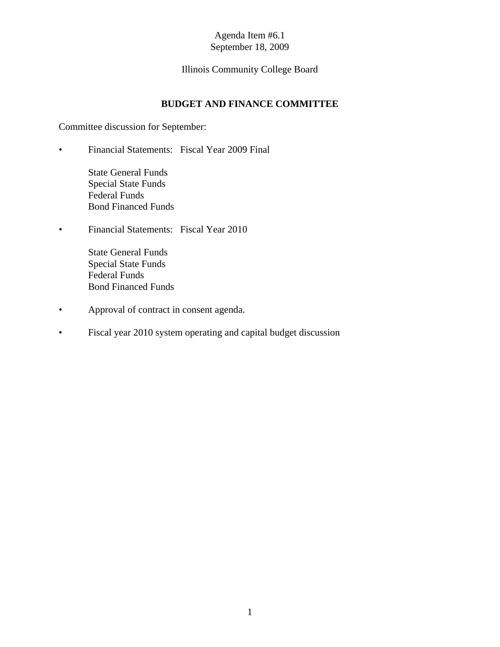# Illinois Community College Board

# **BUDGET AND FINANCE COMMITTEE**

Committee discussion for September:

• Financial Statements: Fiscal Year 2009 Final

State General Funds Special State Funds Federal Funds Bond Financed Funds

• Financial Statements: Fiscal Year 2010

State General Funds Special State Funds Federal Funds Bond Financed Funds

- Approval of contract in consent agenda.
- Fiscal year 2010 system operating and capital budget discussion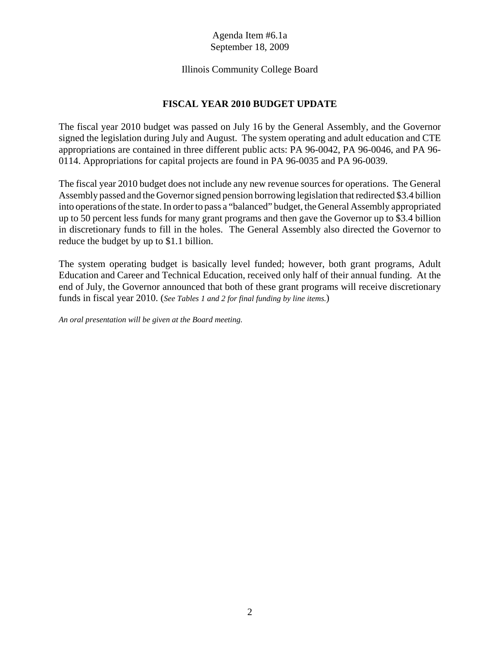## Illinois Community College Board

# **FISCAL YEAR 2010 BUDGET UPDATE**

The fiscal year 2010 budget was passed on July 16 by the General Assembly, and the Governor signed the legislation during July and August. The system operating and adult education and CTE appropriations are contained in three different public acts: PA 96-0042, PA 96-0046, and PA 96- 0114. Appropriations for capital projects are found in PA 96-0035 and PA 96-0039.

The fiscal year 2010 budget does not include any new revenue sources for operations. The General Assembly passed and the Governor signed pension borrowing legislation that redirected \$3.4 billion into operations of the state. In order to pass a "balanced" budget, the General Assembly appropriated up to 50 percent less funds for many grant programs and then gave the Governor up to \$3.4 billion in discretionary funds to fill in the holes. The General Assembly also directed the Governor to reduce the budget by up to \$1.1 billion.

The system operating budget is basically level funded; however, both grant programs, Adult Education and Career and Technical Education, received only half of their annual funding. At the end of July, the Governor announced that both of these grant programs will receive discretionary funds in fiscal year 2010. (*See Tables 1 and 2 for final funding by line items.*)

*An oral presentation will be given at the Board meeting.*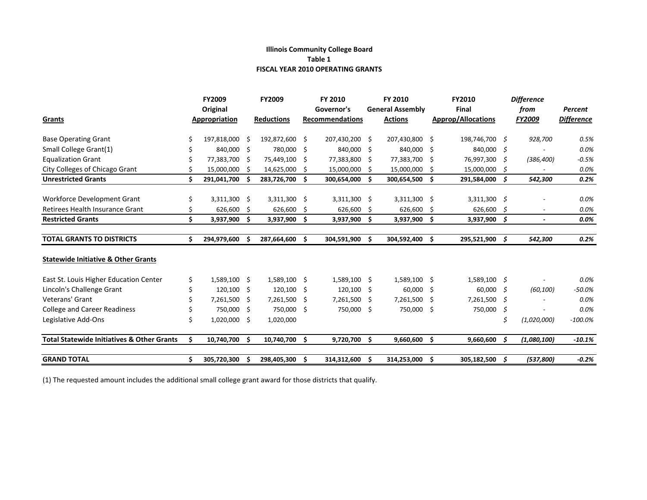#### **Illinois Community College Board Table 1 FISCAL YEAR 2010 OPERATING GRANTS**

|                                                       |    | <b>FY2009</b>  |    | <b>FY2009</b>     |      | FY 2010                |     | FY 2010                 | <b>FY2010</b>             |      | <b>Difference</b>        |                   |
|-------------------------------------------------------|----|----------------|----|-------------------|------|------------------------|-----|-------------------------|---------------------------|------|--------------------------|-------------------|
|                                                       |    | Original       |    |                   |      | Governor's             |     | <b>General Assembly</b> | Final                     |      | from                     | Percent           |
| Grants                                                |    | Appropriation  |    | <b>Reductions</b> |      | <b>Recommendations</b> |     | <b>Actions</b>          | <b>Approp/Allocations</b> |      | FY2009                   | <b>Difference</b> |
| <b>Base Operating Grant</b>                           |    | 197,818,000    | Ŝ  | 192,872,600       | - Ś  | 207,430,200 \$         |     | 207,430,800 \$          | 198,746,700 \$            |      | 928,700                  | 0.5%              |
| Small College Grant(1)                                |    | 840,000 \$     |    | 780,000 \$        |      | 840,000 \$             |     | 840,000 \$              | 840,000 \$                |      |                          | 0.0%              |
| <b>Equalization Grant</b>                             |    | 77,383,700 \$  |    | 75,449,100        | - \$ | 77,383,800             | -S  | 77,383,700 \$           | 76,997,300 \$             |      | (386, 400)               | $-0.5%$           |
| City Colleges of Chicago Grant                        |    | 15,000,000     | Ŝ. | 14,625,000        | -S   | 15,000,000             | -S  | 15,000,000 \$           | 15,000,000 \$             |      |                          | 0.0%              |
| <b>Unrestricted Grants</b>                            | \$ | 291,041,700    |    | 283,726,700       | Ŝ.   | 300,654,000 \$         |     | 300,654,500 \$          | 291,584,000 \$            |      | 542,300                  | 0.2%              |
| <b>Workforce Development Grant</b>                    | \$ | 3,311,300 \$   |    | 3,311,300 \$      |      | 3,311,300 \$           |     | 3,311,300 \$            | $3,311,300$ \$            |      |                          | 0.0%              |
| Retirees Health Insurance Grant                       |    | 626,600 \$     |    | 626,600           | -\$  | 626,600                | -S  | 626,600 \$              | 626,600 \$                |      | $\overline{\phantom{a}}$ | 0.0%              |
| <b>Restricted Grants</b>                              | \$ | 3,937,900      | S. | 3,937,900         | -\$  | 3,937,900              | -\$ | 3,937,900 \$            | $3,937,900$ \$            |      | $\overline{\phantom{a}}$ | 0.0%              |
| <b>TOTAL GRANTS TO DISTRICTS</b>                      | \$ | 294,979,600    | -S | 287,664,600 \$    |      | 304,591,900 \$         |     | 304,592,400 \$          | 295,521,900 \$            |      | 542,300                  | 0.2%              |
| <b>Statewide Initiative &amp; Other Grants</b>        |    |                |    |                   |      |                        |     |                         |                           |      |                          |                   |
| East St. Louis Higher Education Center                | \$ | 1,589,100 \$   |    | 1,589,100 \$      |      | 1,589,100 \$           |     | 1,589,100 \$            | $1,589,100$ \$            |      |                          | 0.0%              |
| Lincoln's Challenge Grant                             |    | 120,100 \$     |    | 120,100           | - \$ | 120,100 \$             |     | 60,000 \$               | 60,000                    | - 5  | (60, 100)                | $-50.0%$          |
| Veterans' Grant                                       |    | 7,261,500 \$   |    | 7,261,500         | -\$  | 7,261,500              | -\$ | 7,261,500 \$            | 7,261,500                 | - \$ |                          | 0.0%              |
| <b>College and Career Readiness</b>                   |    | 750,000        | Ŝ. | 750,000 \$        |      | 750,000 \$             |     | 750,000 \$              | 750,000                   | S.   |                          | 0.0%              |
| Legislative Add-Ons                                   | Ś  | $1,020,000$ \$ |    | 1,020,000         |      |                        |     |                         |                           | \$   | (1,020,000)              | $-100.0%$         |
| <b>Total Statewide Initiatives &amp; Other Grants</b> | \$ | 10,740,700 \$  |    | 10,740,700        | -\$  | 9,720,700              | Ŝ.  | $9,660,600$ \$          | $9,660,600 \leq$          |      | (1,080,100)              | $-10.1%$          |
| <b>GRAND TOTAL</b>                                    |    | 305,720,300    |    | 298,405,300       | -\$  | 314,312,600            | -\$ | 314,253,000 \$          | 305,182,500 \$            |      | (537,800)                | $-0.2%$           |

(1) The requested amount includes the additional small college grant award for those districts that qualify.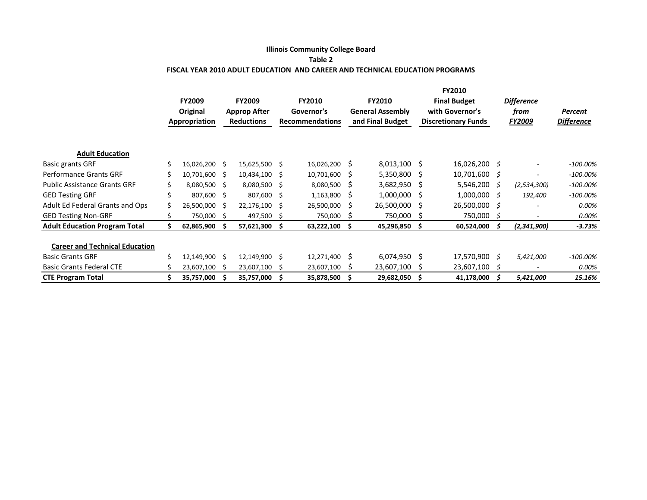#### **Illinois Community College Board Table 2 FISCAL YEAR 2010 ADULT EDUCATION AND CAREER AND TECHNICAL EDUCATION PROGRAMS**

|                                       | <b>FY2009</b><br>Original<br>Appropriation |               | <b>FY2009</b><br><b>Approp After</b><br><b>Reductions</b> |                 | <b>FY2010</b><br>Governor's<br><b>Recommendations</b> |            | <b>FY2010</b><br><b>General Assembly</b><br>and Final Budget |                | <b>FY2010</b><br><b>Final Budget</b><br>with Governor's<br><b>Discretionary Funds</b> |                   | <b>Difference</b><br>from<br><b>FY2009</b> |                          | Percent<br><b>Difference</b> |
|---------------------------------------|--------------------------------------------|---------------|-----------------------------------------------------------|-----------------|-------------------------------------------------------|------------|--------------------------------------------------------------|----------------|---------------------------------------------------------------------------------------|-------------------|--------------------------------------------|--------------------------|------------------------------|
|                                       |                                            |               |                                                           |                 |                                                       |            |                                                              |                |                                                                                       |                   |                                            |                          |                              |
| <b>Adult Education</b>                |                                            |               |                                                           |                 |                                                       |            |                                                              |                |                                                                                       |                   |                                            |                          |                              |
| <b>Basic grants GRF</b>               |                                            | 16,026,200 \$ |                                                           | 15,625,500 \$   |                                                       | 16,026,200 | S                                                            | 8,013,100 \$   |                                                                                       | 16,026,200 \$     |                                            | $\overline{\phantom{a}}$ | -100.00%                     |
| <b>Performance Grants GRF</b>         |                                            | 10,701,600 \$ |                                                           | $10,434,100$ \$ |                                                       | 10,701,600 | S                                                            | $5,350,800$ \$ |                                                                                       | $10,701,600 \leq$ |                                            |                          | $-100.00\%$                  |
| <b>Public Assistance Grants GRF</b>   |                                            | 8,080,500 \$  |                                                           | 8,080,500 \$    |                                                       | 8,080,500  | S                                                            | 3,682,950 \$   |                                                                                       | 5,546,200         | S.                                         | (2,534,300)              | $-100.00\%$                  |
| <b>GED Testing GRF</b>                |                                            | 807,600 \$    |                                                           | 807,600 \$      |                                                       | 1,163,800  | S                                                            | $1,000,000$ \$ |                                                                                       | 1,000,000         | -S                                         | 192,400                  | $-100.00\%$                  |
| Adult Ed Federal Grants and Ops       |                                            | 26,500,000    | - Ś                                                       | 22,176,100      | S                                                     | 26,500,000 | Ś                                                            | 26,500,000 \$  |                                                                                       | 26,500,000        | S.                                         |                          | 0.00%                        |
| <b>GED Testing Non-GRF</b>            |                                            | 750,000 \$    |                                                           | 497,500         | <sub>S</sub>                                          | 750,000    | S.                                                           | 750,000 \$     |                                                                                       | 750,000           | S.                                         |                          | 0.00%                        |
| <b>Adult Education Program Total</b>  |                                            | 62,865,900    | - Ś                                                       | 57,621,300      | s                                                     | 63,222,100 | Ŝ                                                            | 45,296,850 \$  |                                                                                       | 60,524,000        |                                            | (2,341,900)              | $-3.73%$                     |
| <b>Career and Technical Education</b> |                                            |               |                                                           |                 |                                                       |            |                                                              |                |                                                                                       |                   |                                            |                          |                              |
| <b>Basic Grants GRF</b>               |                                            | 12,149,900    | - \$                                                      | 12,149,900 \$   |                                                       | 12,271,400 | Ŝ                                                            | $6,074,950$ \$ |                                                                                       | 17,570,900 \$     |                                            | 5,421,000                | $-100.00\%$                  |
| <b>Basic Grants Federal CTE</b>       |                                            | 23,607,100    |                                                           | 23,607,100      |                                                       | 23,607,100 | Ś                                                            | 23,607,100     |                                                                                       | 23,607,100        | -S                                         |                          | 0.00%                        |
| <b>CTE Program Total</b>              |                                            | 35,757,000    |                                                           | 35,757,000      |                                                       | 35,878,500 | S                                                            | 29,682,050     |                                                                                       | 41,178,000        | S                                          | 5,421,000                | 15.16%                       |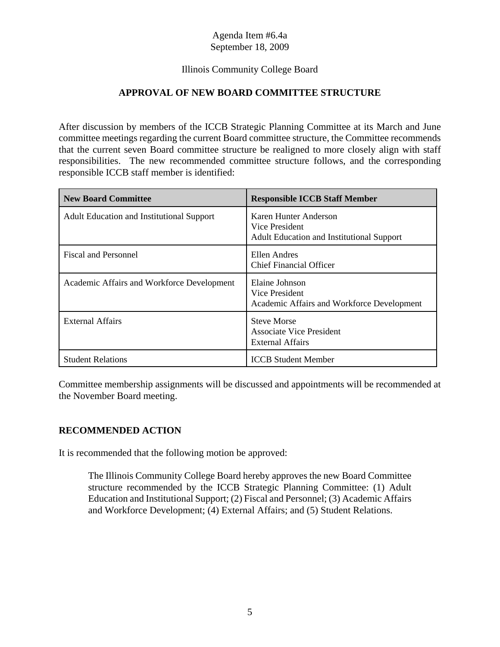# Illinois Community College Board

# **APPROVAL OF NEW BOARD COMMITTEE STRUCTURE**

After discussion by members of the ICCB Strategic Planning Committee at its March and June committee meetings regarding the current Board committee structure, the Committee recommends that the current seven Board committee structure be realigned to more closely align with staff responsibilities. The new recommended committee structure follows, and the corresponding responsible ICCB staff member is identified:

| <b>New Board Committee</b>                       | <b>Responsible ICCB Staff Member</b>                                                        |
|--------------------------------------------------|---------------------------------------------------------------------------------------------|
| <b>Adult Education and Institutional Support</b> | Karen Hunter Anderson<br>Vice President<br><b>Adult Education and Institutional Support</b> |
| <b>Fiscal and Personnel</b>                      | Ellen Andres<br><b>Chief Financial Officer</b>                                              |
| Academic Affairs and Workforce Development       | Elaine Johnson<br>Vice President<br>Academic Affairs and Workforce Development              |
| External Affairs                                 | <b>Steve Morse</b><br><b>Associate Vice President</b><br>External Affairs                   |
| <b>Student Relations</b>                         | <b>ICCB</b> Student Member                                                                  |

Committee membership assignments will be discussed and appointments will be recommended at the November Board meeting.

# **RECOMMENDED ACTION**

It is recommended that the following motion be approved:

The Illinois Community College Board hereby approves the new Board Committee structure recommended by the ICCB Strategic Planning Committee: (1) Adult Education and Institutional Support; (2) Fiscal and Personnel; (3) Academic Affairs and Workforce Development; (4) External Affairs; and (5) Student Relations.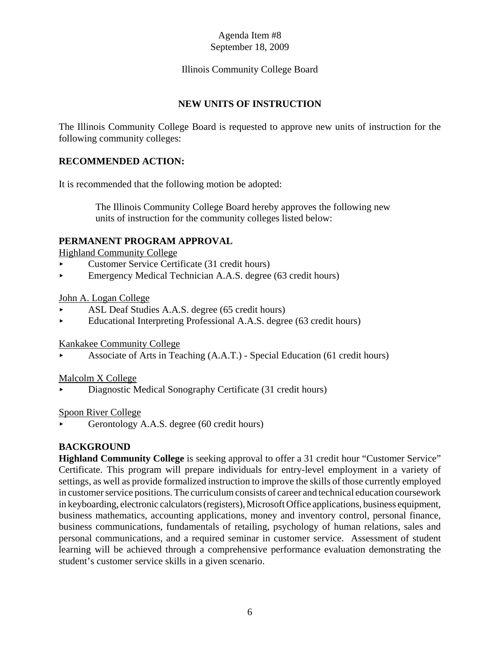# Illinois Community College Board

## **NEW UNITS OF INSTRUCTION**

The Illinois Community College Board is requested to approve new units of instruction for the following community colleges:

## **RECOMMENDED ACTION:**

It is recommended that the following motion be adopted:

 The Illinois Community College Board hereby approves the following new units of instruction for the community colleges listed below:

### **PERMANENT PROGRAM APPROVAL**

Highland Community College

- < Customer Service Certificate (31 credit hours)
- $\blacktriangleright$  Emergency Medical Technician A.A.S. degree (63 credit hours)

#### John A. Logan College

- ASL Deaf Studies A.A.S. degree (65 credit hours)
- $\blacktriangleright$  Educational Interpreting Professional A.A.S. degree (63 credit hours)

Kankakee Community College

< Associate of Arts in Teaching (A.A.T.) - Special Education (61 credit hours)

#### Malcolm X College

< Diagnostic Medical Sonography Certificate (31 credit hours)

#### Spoon River College

Gerontology A.A.S. degree (60 credit hours)

# **BACKGROUND**

**Highland Community College** is seeking approval to offer a 31 credit hour "Customer Service" Certificate. This program will prepare individuals for entry-level employment in a variety of settings, as well as provide formalized instruction to improve the skills of those currently employed in customer service positions. The curriculum consists of career and technical education coursework in keyboarding, electronic calculators (registers), Microsoft Office applications, business equipment, business mathematics, accounting applications, money and inventory control, personal finance, business communications, fundamentals of retailing, psychology of human relations, sales and personal communications, and a required seminar in customer service. Assessment of student learning will be achieved through a comprehensive performance evaluation demonstrating the student's customer service skills in a given scenario.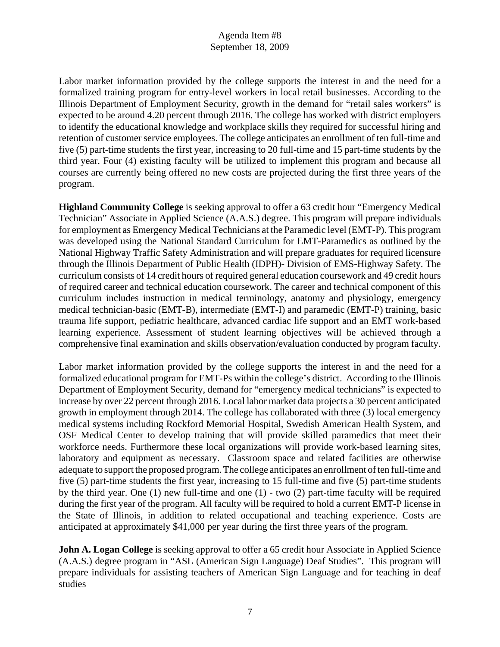Labor market information provided by the college supports the interest in and the need for a formalized training program for entry-level workers in local retail businesses. According to the Illinois Department of Employment Security, growth in the demand for "retail sales workers" is expected to be around 4.20 percent through 2016. The college has worked with district employers to identify the educational knowledge and workplace skills they required for successful hiring and retention of customer service employees. The college anticipates an enrollment of ten full-time and five (5) part-time students the first year, increasing to 20 full-time and 15 part-time students by the third year. Four (4) existing faculty will be utilized to implement this program and because all courses are currently being offered no new costs are projected during the first three years of the program.

**Highland Community College** is seeking approval to offer a 63 credit hour "Emergency Medical Technician" Associate in Applied Science (A.A.S.) degree. This program will prepare individuals for employment as Emergency Medical Technicians at the Paramedic level (EMT-P). This program was developed using the National Standard Curriculum for EMT-Paramedics as outlined by the National Highway Traffic Safety Administration and will prepare graduates for required licensure through the Illinois Department of Public Health (IDPH)- Division of EMS-Highway Safety. The curriculum consists of 14 credit hours of required general education coursework and 49 credit hours of required career and technical education coursework. The career and technical component of this curriculum includes instruction in medical terminology, anatomy and physiology, emergency medical technician-basic (EMT-B), intermediate (EMT-I) and paramedic (EMT-P) training, basic trauma life support, pediatric healthcare, advanced cardiac life support and an EMT work-based learning experience. Assessment of student learning objectives will be achieved through a comprehensive final examination and skills observation/evaluation conducted by program faculty.

Labor market information provided by the college supports the interest in and the need for a formalized educational program for EMT-Ps within the college's district. According to the Illinois Department of Employment Security, demand for "emergency medical technicians" is expected to increase by over 22 percent through 2016. Local labor market data projects a 30 percent anticipated growth in employment through 2014. The college has collaborated with three (3) local emergency medical systems including Rockford Memorial Hospital, Swedish American Health System, and OSF Medical Center to develop training that will provide skilled paramedics that meet their workforce needs. Furthermore these local organizations will provide work-based learning sites, laboratory and equipment as necessary. Classroom space and related facilities are otherwise adequate to support the proposed program. The college anticipates an enrollment of ten full-time and five (5) part-time students the first year, increasing to 15 full-time and five (5) part-time students by the third year. One (1) new full-time and one (1) - two (2) part-time faculty will be required during the first year of the program. All faculty will be required to hold a current EMT-P license in the State of Illinois, in addition to related occupational and teaching experience. Costs are anticipated at approximately \$41,000 per year during the first three years of the program.

**John A. Logan College** is seeking approval to offer a 65 credit hour Associate in Applied Science (A.A.S.) degree program in "ASL (American Sign Language) Deaf Studies". This program will prepare individuals for assisting teachers of American Sign Language and for teaching in deaf studies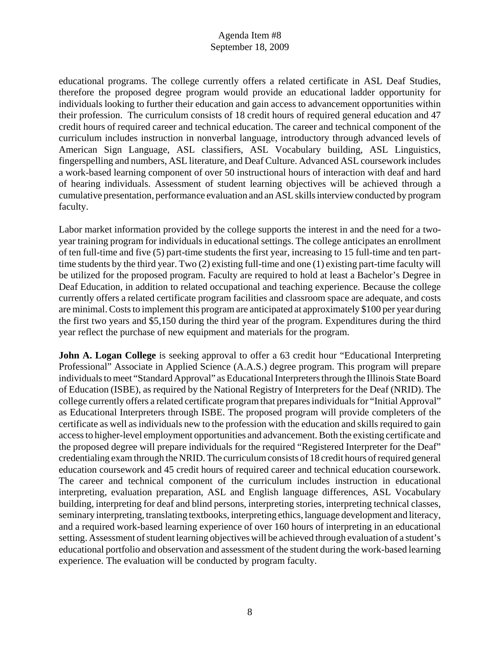educational programs. The college currently offers a related certificate in ASL Deaf Studies, therefore the proposed degree program would provide an educational ladder opportunity for individuals looking to further their education and gain access to advancement opportunities within their profession. The curriculum consists of 18 credit hours of required general education and 47 credit hours of required career and technical education. The career and technical component of the curriculum includes instruction in nonverbal language, introductory through advanced levels of American Sign Language, ASL classifiers, ASL Vocabulary building, ASL Linguistics, fingerspelling and numbers, ASL literature, and Deaf Culture. Advanced ASL coursework includes a work-based learning component of over 50 instructional hours of interaction with deaf and hard of hearing individuals. Assessment of student learning objectives will be achieved through a cumulative presentation, performance evaluation and an ASL skills interview conducted by program faculty.

Labor market information provided by the college supports the interest in and the need for a twoyear training program for individuals in educational settings. The college anticipates an enrollment of ten full-time and five (5) part-time students the first year, increasing to 15 full-time and ten parttime students by the third year. Two (2) existing full-time and one (1) existing part-time faculty will be utilized for the proposed program. Faculty are required to hold at least a Bachelor's Degree in Deaf Education, in addition to related occupational and teaching experience. Because the college currently offers a related certificate program facilities and classroom space are adequate, and costs are minimal. Costs to implement this program are anticipated at approximately \$100 per year during the first two years and \$5,150 during the third year of the program. Expenditures during the third year reflect the purchase of new equipment and materials for the program.

**John A. Logan College** is seeking approval to offer a 63 credit hour "Educational Interpreting Professional" Associate in Applied Science (A.A.S.) degree program. This program will prepare individuals to meet "Standard Approval" as Educational Interpreters through the Illinois State Board of Education (ISBE), as required by the National Registry of Interpreters for the Deaf (NRID). The college currently offers a related certificate program that prepares individuals for "Initial Approval" as Educational Interpreters through ISBE. The proposed program will provide completers of the certificate as well as individuals new to the profession with the education and skills required to gain access to higher-level employment opportunities and advancement. Both the existing certificate and the proposed degree will prepare individuals for the required "Registered Interpreter for the Deaf" credentialing exam through the NRID. The curriculum consists of 18 credit hours of required general education coursework and 45 credit hours of required career and technical education coursework. The career and technical component of the curriculum includes instruction in educational interpreting, evaluation preparation, ASL and English language differences, ASL Vocabulary building, interpreting for deaf and blind persons, interpreting stories, interpreting technical classes, seminary interpreting, translating textbooks, interpreting ethics, language development and literacy, and a required work-based learning experience of over 160 hours of interpreting in an educational setting. Assessment of student learning objectives will be achieved through evaluation of a student's educational portfolio and observation and assessment of the student during the work-based learning experience. The evaluation will be conducted by program faculty.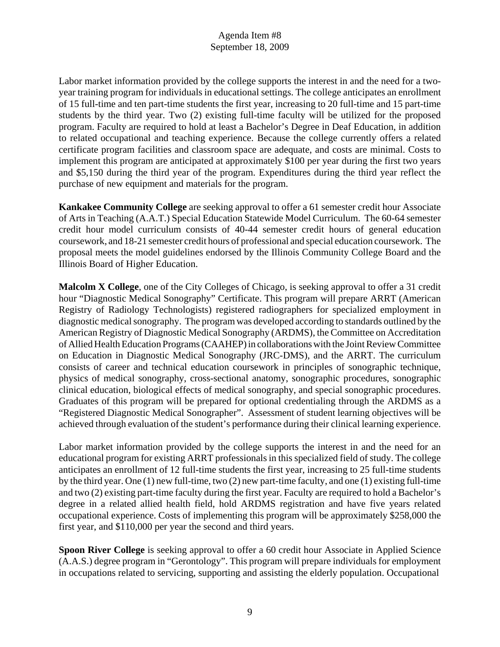Labor market information provided by the college supports the interest in and the need for a twoyear training program for individuals in educational settings. The college anticipates an enrollment of 15 full-time and ten part-time students the first year, increasing to 20 full-time and 15 part-time students by the third year. Two (2) existing full-time faculty will be utilized for the proposed program. Faculty are required to hold at least a Bachelor's Degree in Deaf Education, in addition to related occupational and teaching experience. Because the college currently offers a related certificate program facilities and classroom space are adequate, and costs are minimal. Costs to implement this program are anticipated at approximately \$100 per year during the first two years and \$5,150 during the third year of the program. Expenditures during the third year reflect the purchase of new equipment and materials for the program.

**Kankakee Community College** are seeking approval to offer a 61 semester credit hour Associate of Arts in Teaching (A.A.T.) Special Education Statewide Model Curriculum. The 60-64 semester credit hour model curriculum consists of 40-44 semester credit hours of general education coursework, and 18-21 semester credit hours of professional and special education coursework. The proposal meets the model guidelines endorsed by the Illinois Community College Board and the Illinois Board of Higher Education.

**Malcolm X College**, one of the City Colleges of Chicago, is seeking approval to offer a 31 credit hour "Diagnostic Medical Sonography" Certificate. This program will prepare ARRT (American Registry of Radiology Technologists) registered radiographers for specialized employment in diagnostic medical sonography. The program was developed according to standards outlined by the American Registry of Diagnostic Medical Sonography (ARDMS), the Committee on Accreditation of Allied Health Education Programs (CAAHEP) in collaborations with the Joint Review Committee on Education in Diagnostic Medical Sonography (JRC-DMS), and the ARRT. The curriculum consists of career and technical education coursework in principles of sonographic technique, physics of medical sonography, cross-sectional anatomy, sonographic procedures, sonographic clinical education, biological effects of medical sonography, and special sonographic procedures. Graduates of this program will be prepared for optional credentialing through the ARDMS as a "Registered Diagnostic Medical Sonographer". Assessment of student learning objectives will be achieved through evaluation of the student's performance during their clinical learning experience.

Labor market information provided by the college supports the interest in and the need for an educational program for existing ARRT professionals in this specialized field of study. The college anticipates an enrollment of 12 full-time students the first year, increasing to 25 full-time students by the third year. One (1) new full-time, two (2) new part-time faculty, and one (1) existing full-time and two (2) existing part-time faculty during the first year. Faculty are required to hold a Bachelor's degree in a related allied health field, hold ARDMS registration and have five years related occupational experience. Costs of implementing this program will be approximately \$258,000 the first year, and \$110,000 per year the second and third years.

**Spoon River College** is seeking approval to offer a 60 credit hour Associate in Applied Science (A.A.S.) degree program in "Gerontology". This program will prepare individuals for employment in occupations related to servicing, supporting and assisting the elderly population. Occupational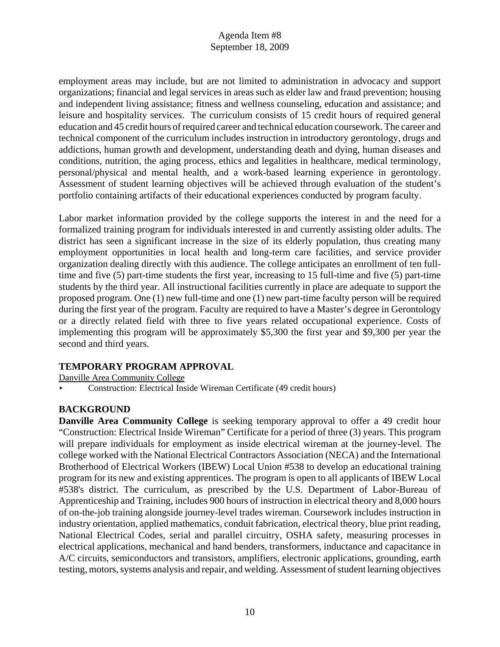employment areas may include, but are not limited to administration in advocacy and support organizations; financial and legal services in areas such as elder law and fraud prevention; housing and independent living assistance; fitness and wellness counseling, education and assistance; and leisure and hospitality services. The curriculum consists of 15 credit hours of required general education and 45 credit hours of required career and technical education coursework. The career and technical component of the curriculum includes instruction in introductory gerontology, drugs and addictions, human growth and development, understanding death and dying, human diseases and conditions, nutrition, the aging process, ethics and legalities in healthcare, medical terminology, personal/physical and mental health, and a work-based learning experience in gerontology. Assessment of student learning objectives will be achieved through evaluation of the student's portfolio containing artifacts of their educational experiences conducted by program faculty.

Labor market information provided by the college supports the interest in and the need for a formalized training program for individuals interested in and currently assisting older adults. The district has seen a significant increase in the size of its elderly population, thus creating many employment opportunities in local health and long-term care facilities, and service provider organization dealing directly with this audience. The college anticipates an enrollment of ten fulltime and five (5) part-time students the first year, increasing to 15 full-time and five (5) part-time students by the third year. All instructional facilities currently in place are adequate to support the proposed program. One (1) new full-time and one (1) new part-time faculty person will be required during the first year of the program. Faculty are required to have a Master's degree in Gerontology or a directly related field with three to five years related occupational experience. Costs of implementing this program will be approximately \$5,300 the first year and \$9,300 per year the second and third years.

# **TEMPORARY PROGRAM APPROVAL**

Danville Area Community College

< Construction: Electrical Inside Wireman Certificate (49 credit hours)

# **BACKGROUND**

**Danville Area Community College** is seeking temporary approval to offer a 49 credit hour "Construction: Electrical Inside Wireman" Certificate for a period of three (3) years. This program will prepare individuals for employment as inside electrical wireman at the journey-level. The college worked with the National Electrical Contractors Association (NECA) and the International Brotherhood of Electrical Workers (IBEW) Local Union #538 to develop an educational training program for its new and existing apprentices. The program is open to all applicants of IBEW Local #538's district. The curriculum, as prescribed by the U.S. Department of Labor-Bureau of Apprenticeship and Training, includes 900 hours of instruction in electrical theory and 8,000 hours of on-the-job training alongside journey-level trades wireman. Coursework includes instruction in industry orientation, applied mathematics, conduit fabrication, electrical theory, blue print reading, National Electrical Codes, serial and parallel circuitry, OSHA safety, measuring processes in electrical applications, mechanical and hand benders, transformers, inductance and capacitance in A/C circuits, semiconductors and transistors, amplifiers, electronic applications, grounding, earth testing, motors, systems analysis and repair, and welding. Assessment of student learning objectives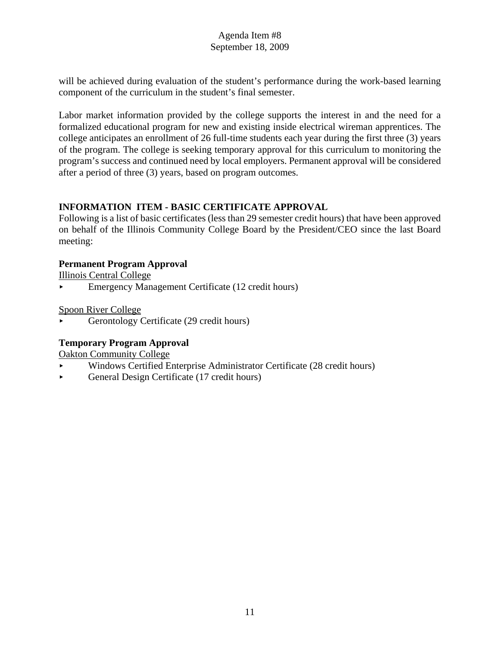will be achieved during evaluation of the student's performance during the work-based learning component of the curriculum in the student's final semester.

Labor market information provided by the college supports the interest in and the need for a formalized educational program for new and existing inside electrical wireman apprentices. The college anticipates an enrollment of 26 full-time students each year during the first three (3) years of the program. The college is seeking temporary approval for this curriculum to monitoring the program's success and continued need by local employers. Permanent approval will be considered after a period of three (3) years, based on program outcomes.

# **INFORMATION ITEM - BASIC CERTIFICATE APPROVAL**

Following is a list of basic certificates (less than 29 semester credit hours) that have been approved on behalf of the Illinois Community College Board by the President/CEO since the last Board meeting:

# **Permanent Program Approval**

Illinois Central College

**Emergency Management Certificate (12 credit hours)** 

Spoon River College

< Gerontology Certificate (29 credit hours)

# **Temporary Program Approval**

Oakton Community College

- < Windows Certified Enterprise Administrator Certificate (28 credit hours)
- General Design Certificate (17 credit hours)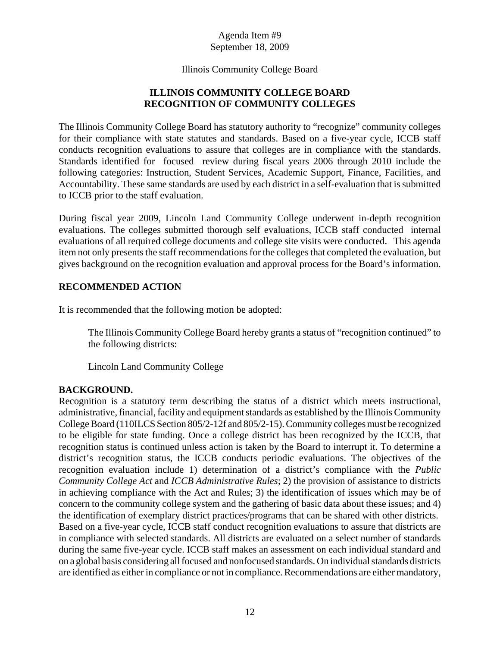#### Illinois Community College Board

# **ILLINOIS COMMUNITY COLLEGE BOARD RECOGNITION OF COMMUNITY COLLEGES**

The Illinois Community College Board has statutory authority to "recognize" community colleges for their compliance with state statutes and standards. Based on a five-year cycle, ICCB staff conducts recognition evaluations to assure that colleges are in compliance with the standards. Standards identified for focused review during fiscal years 2006 through 2010 include the following categories: Instruction, Student Services, Academic Support, Finance, Facilities, and Accountability. These same standards are used by each district in a self-evaluation that is submitted to ICCB prior to the staff evaluation.

During fiscal year 2009, Lincoln Land Community College underwent in-depth recognition evaluations. The colleges submitted thorough self evaluations, ICCB staff conducted internal evaluations of all required college documents and college site visits were conducted. This agenda item not only presents the staff recommendations for the colleges that completed the evaluation, but gives background on the recognition evaluation and approval process for the Board's information.

### **RECOMMENDED ACTION**

It is recommended that the following motion be adopted:

The Illinois Community College Board hereby grants a status of "recognition continued" to the following districts:

Lincoln Land Community College

# **BACKGROUND.**

Recognition is a statutory term describing the status of a district which meets instructional, administrative, financial, facility and equipment standards as established by the Illinois Community College Board (110ILCS Section 805/2-12f and 805/2-15). Community colleges must be recognized to be eligible for state funding. Once a college district has been recognized by the ICCB, that recognition status is continued unless action is taken by the Board to interrupt it. To determine a district's recognition status, the ICCB conducts periodic evaluations. The objectives of the recognition evaluation include 1) determination of a district's compliance with the *Public Community College Act* and *ICCB Administrative Rules*; 2) the provision of assistance to districts in achieving compliance with the Act and Rules; 3) the identification of issues which may be of concern to the community college system and the gathering of basic data about these issues; and 4) the identification of exemplary district practices/programs that can be shared with other districts. Based on a five-year cycle, ICCB staff conduct recognition evaluations to assure that districts are in compliance with selected standards. All districts are evaluated on a select number of standards during the same five-year cycle. ICCB staff makes an assessment on each individual standard and on a global basis considering all focused and nonfocused standards. On individual standards districts are identified as either in compliance or not in compliance. Recommendations are either mandatory,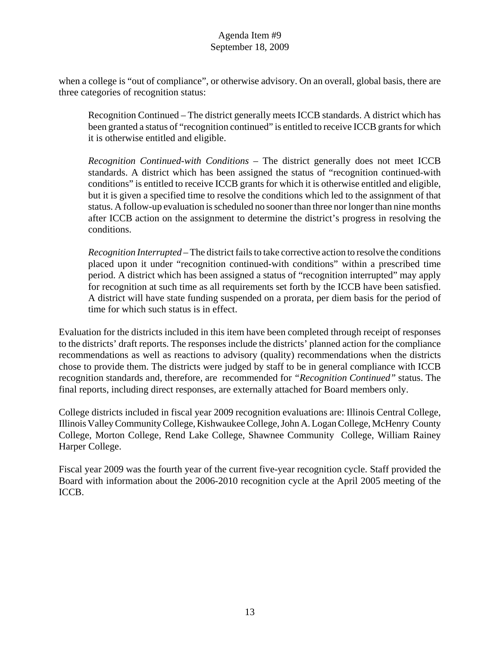when a college is "out of compliance", or otherwise advisory. On an overall, global basis, there are three categories of recognition status:

Recognition Continued – The district generally meets ICCB standards. A district which has been granted a status of "recognition continued" is entitled to receive ICCB grants for which it is otherwise entitled and eligible.

*Recognition Continued-with Conditions* – The district generally does not meet ICCB standards. A district which has been assigned the status of "recognition continued-with conditions" is entitled to receive ICCB grants for which it is otherwise entitled and eligible, but it is given a specified time to resolve the conditions which led to the assignment of that status. A follow-up evaluation is scheduled no sooner than three nor longer than nine months after ICCB action on the assignment to determine the district's progress in resolving the conditions.

*Recognition Interrupted* – The district fails to take corrective action to resolve the conditions placed upon it under "recognition continued-with conditions" within a prescribed time period. A district which has been assigned a status of "recognition interrupted" may apply for recognition at such time as all requirements set forth by the ICCB have been satisfied. A district will have state funding suspended on a prorata, per diem basis for the period of time for which such status is in effect.

Evaluation for the districts included in this item have been completed through receipt of responses to the districts' draft reports. The responses include the districts' planned action for the compliance recommendations as well as reactions to advisory (quality) recommendations when the districts chose to provide them. The districts were judged by staff to be in general compliance with ICCB recognition standards and, therefore, are recommended for *"Recognition Continued"* status. The final reports, including direct responses, are externally attached for Board members only.

College districts included in fiscal year 2009 recognition evaluations are: Illinois Central College, Illinois Valley Community College, Kishwaukee College, John A. Logan College, McHenry County College, Morton College, Rend Lake College, Shawnee Community College, William Rainey Harper College.

Fiscal year 2009 was the fourth year of the current five-year recognition cycle. Staff provided the Board with information about the 2006-2010 recognition cycle at the April 2005 meeting of the ICCB.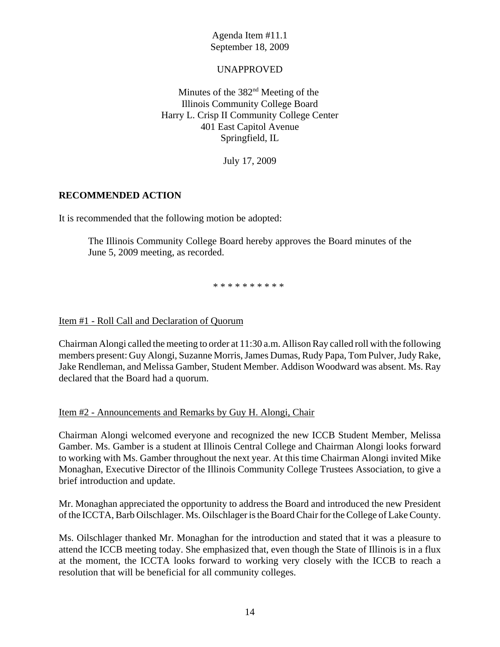## UNAPPROVED

Minutes of the 382<sup>nd</sup> Meeting of the Illinois Community College Board Harry L. Crisp II Community College Center 401 East Capitol Avenue Springfield, IL

July 17, 2009

### **RECOMMENDED ACTION**

It is recommended that the following motion be adopted:

The Illinois Community College Board hereby approves the Board minutes of the June 5, 2009 meeting, as recorded.

\* \* \* \* \* \* \* \* \* \*

Item #1 - Roll Call and Declaration of Quorum

Chairman Alongi called the meeting to order at 11:30 a.m. Allison Ray called roll with the following members present: Guy Alongi, Suzanne Morris, James Dumas, Rudy Papa, Tom Pulver, Judy Rake, Jake Rendleman, and Melissa Gamber, Student Member. Addison Woodward was absent. Ms. Ray declared that the Board had a quorum.

#### Item #2 - Announcements and Remarks by Guy H. Alongi, Chair

Chairman Alongi welcomed everyone and recognized the new ICCB Student Member, Melissa Gamber. Ms. Gamber is a student at Illinois Central College and Chairman Alongi looks forward to working with Ms. Gamber throughout the next year. At this time Chairman Alongi invited Mike Monaghan, Executive Director of the Illinois Community College Trustees Association, to give a brief introduction and update.

Mr. Monaghan appreciated the opportunity to address the Board and introduced the new President of the ICCTA, Barb Oilschlager. Ms. Oilschlager is the Board Chair for the College of Lake County.

Ms. Oilschlager thanked Mr. Monaghan for the introduction and stated that it was a pleasure to attend the ICCB meeting today. She emphasized that, even though the State of Illinois is in a flux at the moment, the ICCTA looks forward to working very closely with the ICCB to reach a resolution that will be beneficial for all community colleges.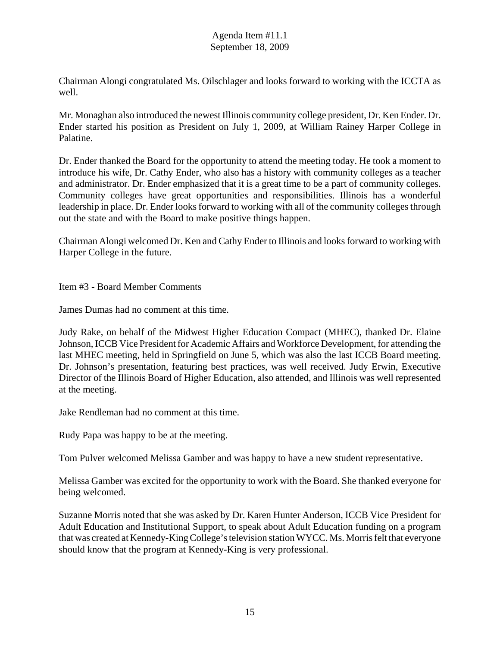Chairman Alongi congratulated Ms. Oilschlager and looks forward to working with the ICCTA as well.

Mr. Monaghan also introduced the newest Illinois community college president, Dr. Ken Ender. Dr. Ender started his position as President on July 1, 2009, at William Rainey Harper College in Palatine.

Dr. Ender thanked the Board for the opportunity to attend the meeting today. He took a moment to introduce his wife, Dr. Cathy Ender, who also has a history with community colleges as a teacher and administrator. Dr. Ender emphasized that it is a great time to be a part of community colleges. Community colleges have great opportunities and responsibilities. Illinois has a wonderful leadership in place. Dr. Ender looks forward to working with all of the community colleges through out the state and with the Board to make positive things happen.

Chairman Alongi welcomed Dr. Ken and Cathy Ender to Illinois and looks forward to working with Harper College in the future.

### Item #3 - Board Member Comments

James Dumas had no comment at this time.

Judy Rake, on behalf of the Midwest Higher Education Compact (MHEC), thanked Dr. Elaine Johnson, ICCB Vice President for Academic Affairs and Workforce Development, for attending the last MHEC meeting, held in Springfield on June 5, which was also the last ICCB Board meeting. Dr. Johnson's presentation, featuring best practices, was well received. Judy Erwin, Executive Director of the Illinois Board of Higher Education, also attended, and Illinois was well represented at the meeting.

Jake Rendleman had no comment at this time.

Rudy Papa was happy to be at the meeting.

Tom Pulver welcomed Melissa Gamber and was happy to have a new student representative.

Melissa Gamber was excited for the opportunity to work with the Board. She thanked everyone for being welcomed.

Suzanne Morris noted that she was asked by Dr. Karen Hunter Anderson, ICCB Vice President for Adult Education and Institutional Support, to speak about Adult Education funding on a program that was created at Kennedy-King College's television station WYCC. Ms. Morris felt that everyone should know that the program at Kennedy-King is very professional.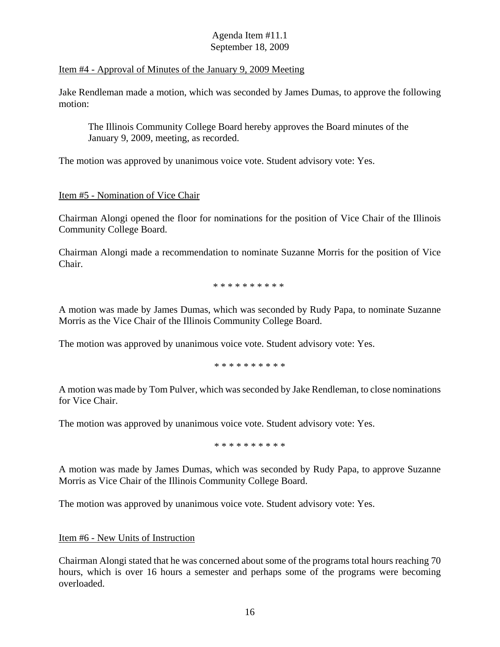#### Item #4 - Approval of Minutes of the January 9, 2009 Meeting

Jake Rendleman made a motion, which was seconded by James Dumas, to approve the following motion:

The Illinois Community College Board hereby approves the Board minutes of the January 9, 2009, meeting, as recorded.

The motion was approved by unanimous voice vote. Student advisory vote: Yes.

# Item #5 - Nomination of Vice Chair

Chairman Alongi opened the floor for nominations for the position of Vice Chair of the Illinois Community College Board.

Chairman Alongi made a recommendation to nominate Suzanne Morris for the position of Vice Chair.

\* \* \* \* \* \* \* \* \* \*

A motion was made by James Dumas, which was seconded by Rudy Papa, to nominate Suzanne Morris as the Vice Chair of the Illinois Community College Board.

The motion was approved by unanimous voice vote. Student advisory vote: Yes.

\* \* \* \* \* \* \* \* \* \*

A motion was made by Tom Pulver, which was seconded by Jake Rendleman, to close nominations for Vice Chair.

The motion was approved by unanimous voice vote. Student advisory vote: Yes.

\* \* \* \* \* \* \* \* \* \*

A motion was made by James Dumas, which was seconded by Rudy Papa, to approve Suzanne Morris as Vice Chair of the Illinois Community College Board.

The motion was approved by unanimous voice vote. Student advisory vote: Yes.

#### Item #6 - New Units of Instruction

Chairman Alongi stated that he was concerned about some of the programs total hours reaching 70 hours, which is over 16 hours a semester and perhaps some of the programs were becoming overloaded.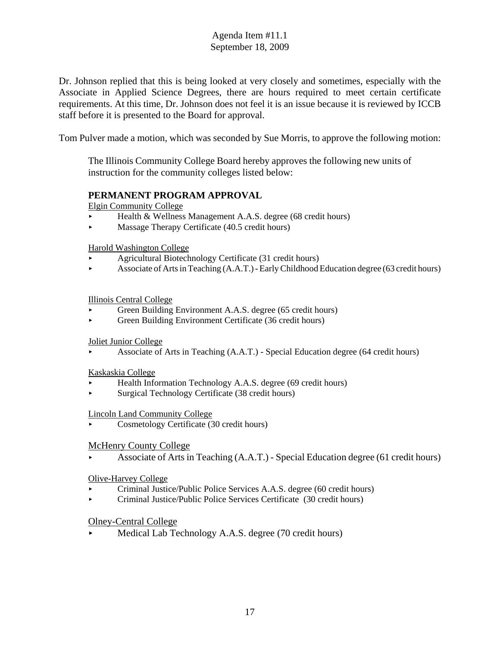Dr. Johnson replied that this is being looked at very closely and sometimes, especially with the Associate in Applied Science Degrees, there are hours required to meet certain certificate requirements. At this time, Dr. Johnson does not feel it is an issue because it is reviewed by ICCB staff before it is presented to the Board for approval.

Tom Pulver made a motion, which was seconded by Sue Morris, to approve the following motion:

The Illinois Community College Board hereby approves the following new units of instruction for the community colleges listed below:

### **PERMANENT PROGRAM APPROVAL**

Elgin Community College

- ▶ Health & Wellness Management A.A.S. degree (68 credit hours)
- $\blacktriangleright$  Massage Therapy Certificate (40.5 credit hours)

Harold Washington College

- < Agricultural Biotechnology Certificate (31 credit hours)
- < Associate of Arts in Teaching (A.A.T.) Early Childhood Education degree (63 credit hours)

#### Illinois Central College

- Green Building Environment A.A.S. degree (65 credit hours)
- < Green Building Environment Certificate (36 credit hours)

#### Joliet Junior College

< Associate of Arts in Teaching (A.A.T.) - Special Education degree (64 credit hours)

#### Kaskaskia College

- < Health Information Technology A.A.S. degree (69 credit hours)
- < Surgical Technology Certificate (38 credit hours)

#### Lincoln Land Community College

< Cosmetology Certificate (30 credit hours)

#### McHenry County College

< Associate of Arts in Teaching (A.A.T.) - Special Education degree (61 credit hours)

#### Olive-Harvey College

- < Criminal Justice/Public Police Services A.A.S. degree (60 credit hours)
- < Criminal Justice/Public Police Services Certificate (30 credit hours)

#### Olney-Central College

Medical Lab Technology A.A.S. degree (70 credit hours)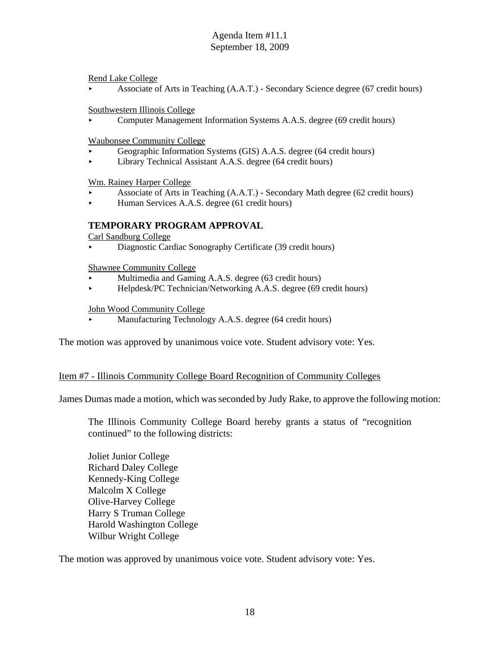Rend Lake College

< Associate of Arts in Teaching (A.A.T.) - Secondary Science degree (67 credit hours)

Southwestern Illinois College

< Computer Management Information Systems A.A.S. degree (69 credit hours)

Waubonsee Community College

- < Geographic Information Systems (GIS) A.A.S. degree (64 credit hours)
- < Library Technical Assistant A.A.S. degree (64 credit hours)

Wm. Rainey Harper College

- < Associate of Arts in Teaching (A.A.T.) Secondary Math degree (62 credit hours)
- < Human Services A.A.S. degree (61 credit hours)

### **TEMPORARY PROGRAM APPROVAL**

Carl Sandburg College

Diagnostic Cardiac Sonography Certificate (39 credit hours)

Shawnee Community College

- Multimedia and Gaming A.A.S. degree (63 credit hours)
- ▶ Helpdesk/PC Technician/Networking A.A.S. degree (69 credit hours)

#### John Wood Community College

Manufacturing Technology A.A.S. degree (64 credit hours)

The motion was approved by unanimous voice vote. Student advisory vote: Yes.

#### Item #7 - Illinois Community College Board Recognition of Community Colleges

James Dumas made a motion, which was seconded by Judy Rake, to approve the following motion:

The Illinois Community College Board hereby grants a status of "recognition continued" to the following districts:

Joliet Junior College Richard Daley College Kennedy-King College Malcolm X College Olive-Harvey College Harry S Truman College Harold Washington College Wilbur Wright College

The motion was approved by unanimous voice vote. Student advisory vote: Yes.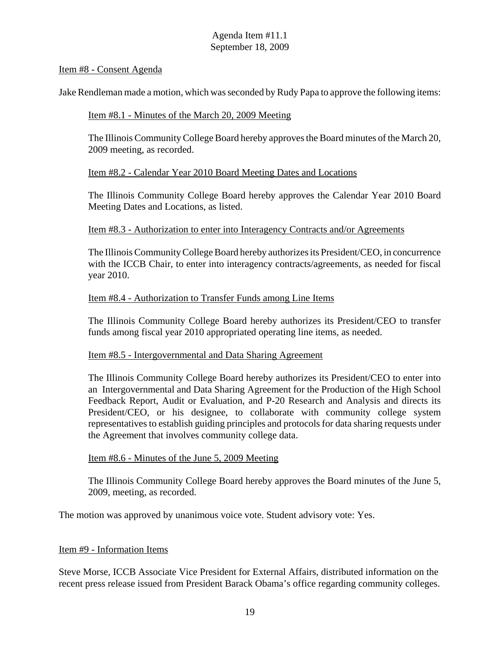#### Item #8 - Consent Agenda

Jake Rendleman made a motion, which was seconded by Rudy Papa to approve the following items:

#### Item #8.1 - Minutes of the March 20, 2009 Meeting

The Illinois Community College Board hereby approves the Board minutes of the March 20, 2009 meeting, as recorded.

#### Item #8.2 - Calendar Year 2010 Board Meeting Dates and Locations

The Illinois Community College Board hereby approves the Calendar Year 2010 Board Meeting Dates and Locations, as listed.

#### Item #8.3 - Authorization to enter into Interagency Contracts and/or Agreements

The Illinois Community College Board hereby authorizes its President/CEO, in concurrence with the ICCB Chair, to enter into interagency contracts/agreements, as needed for fiscal year 2010.

#### Item #8.4 - Authorization to Transfer Funds among Line Items

The Illinois Community College Board hereby authorizes its President/CEO to transfer funds among fiscal year 2010 appropriated operating line items, as needed.

#### Item #8.5 - Intergovernmental and Data Sharing Agreement

The Illinois Community College Board hereby authorizes its President/CEO to enter into an Intergovernmental and Data Sharing Agreement for the Production of the High School Feedback Report, Audit or Evaluation, and P-20 Research and Analysis and directs its President/CEO, or his designee, to collaborate with community college system representatives to establish guiding principles and protocols for data sharing requests under the Agreement that involves community college data.

#### Item #8.6 - Minutes of the June 5, 2009 Meeting

The Illinois Community College Board hereby approves the Board minutes of the June 5, 2009, meeting, as recorded.

The motion was approved by unanimous voice vote. Student advisory vote: Yes.

#### Item #9 - Information Items

Steve Morse, ICCB Associate Vice President for External Affairs, distributed information on the recent press release issued from President Barack Obama's office regarding community colleges.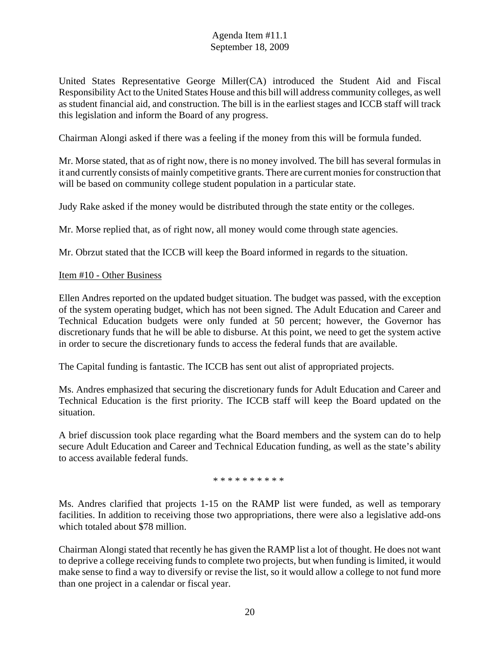United States Representative George Miller(CA) introduced the Student Aid and Fiscal Responsibility Act to the United States House and this bill will address community colleges, as well as student financial aid, and construction. The bill is in the earliest stages and ICCB staff will track this legislation and inform the Board of any progress.

Chairman Alongi asked if there was a feeling if the money from this will be formula funded.

Mr. Morse stated, that as of right now, there is no money involved. The bill has several formulas in it and currently consists of mainly competitive grants. There are current monies for construction that will be based on community college student population in a particular state.

Judy Rake asked if the money would be distributed through the state entity or the colleges.

Mr. Morse replied that, as of right now, all money would come through state agencies.

Mr. Obrzut stated that the ICCB will keep the Board informed in regards to the situation.

#### Item #10 - Other Business

Ellen Andres reported on the updated budget situation. The budget was passed, with the exception of the system operating budget, which has not been signed. The Adult Education and Career and Technical Education budgets were only funded at 50 percent; however, the Governor has discretionary funds that he will be able to disburse. At this point, we need to get the system active in order to secure the discretionary funds to access the federal funds that are available.

The Capital funding is fantastic. The ICCB has sent out alist of appropriated projects.

Ms. Andres emphasized that securing the discretionary funds for Adult Education and Career and Technical Education is the first priority. The ICCB staff will keep the Board updated on the situation.

A brief discussion took place regarding what the Board members and the system can do to help secure Adult Education and Career and Technical Education funding, as well as the state's ability to access available federal funds.

\* \* \* \* \* \* \* \* \* \*

Ms. Andres clarified that projects 1-15 on the RAMP list were funded, as well as temporary facilities. In addition to receiving those two appropriations, there were also a legislative add-ons which totaled about \$78 million.

Chairman Alongi stated that recently he has given the RAMP list a lot of thought. He does not want to deprive a college receiving funds to complete two projects, but when funding is limited, it would make sense to find a way to diversify or revise the list, so it would allow a college to not fund more than one project in a calendar or fiscal year.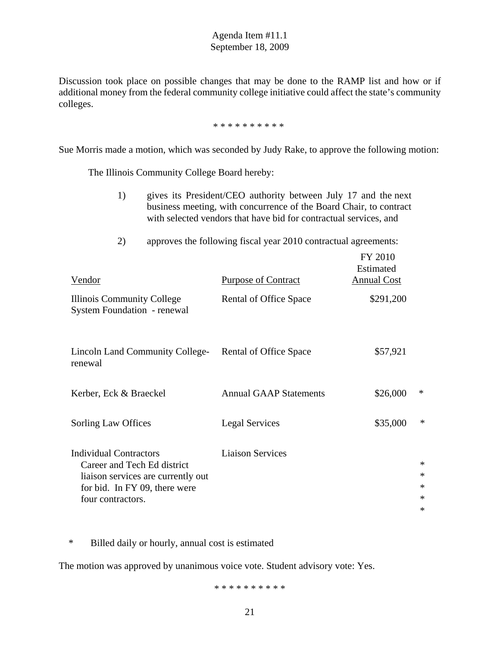Discussion took place on possible changes that may be done to the RAMP list and how or if additional money from the federal community college initiative could affect the state's community colleges.

\* \* \* \* \* \* \* \* \* \*

Sue Morris made a motion, which was seconded by Judy Rake, to approve the following motion:

The Illinois Community College Board hereby:

- 1) gives its President/CEO authority between July 17 and the next business meeting, with concurrence of the Board Chair, to contract with selected vendors that have bid for contractual services, and
- 2) approves the following fiscal year 2010 contractual agreements:

| Vendor                                                                                                                                                   | <b>Purpose of Contract</b>    | FY 2010<br>Estimated<br><b>Annual Cost</b> |                                           |
|----------------------------------------------------------------------------------------------------------------------------------------------------------|-------------------------------|--------------------------------------------|-------------------------------------------|
| Illinois Community College<br><b>System Foundation - renewal</b>                                                                                         | Rental of Office Space        | \$291,200                                  |                                           |
| Lincoln Land Community College-<br>renewal                                                                                                               | Rental of Office Space        | \$57,921                                   |                                           |
| Kerber, Eck & Braeckel                                                                                                                                   | <b>Annual GAAP Statements</b> | \$26,000                                   | ∗                                         |
| Sorling Law Offices                                                                                                                                      | <b>Legal Services</b>         | \$35,000                                   | ∗                                         |
| <b>Individual Contractors</b><br>Career and Tech Ed district<br>liaison services are currently out<br>for bid. In FY 09, there were<br>four contractors. | <b>Liaison Services</b>       |                                            | $\ast$<br>$\ast$<br>∗<br>$\ast$<br>$\ast$ |

\* Billed daily or hourly, annual cost is estimated

The motion was approved by unanimous voice vote. Student advisory vote: Yes.

\* \* \* \* \* \* \* \* \* \*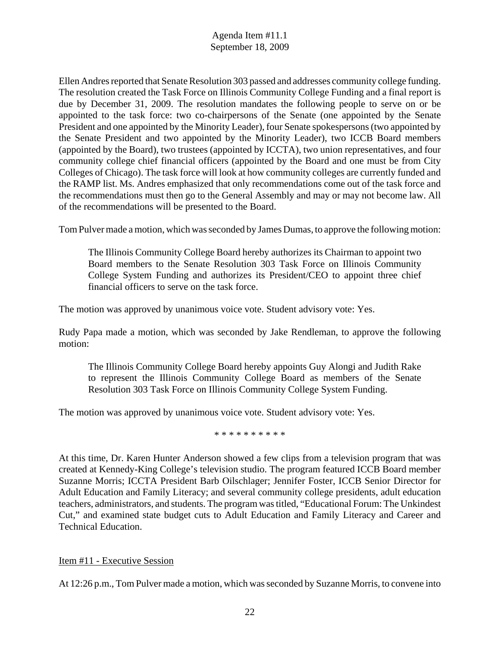Ellen Andres reported that Senate Resolution 303 passed and addresses community college funding. The resolution created the Task Force on Illinois Community College Funding and a final report is due by December 31, 2009. The resolution mandates the following people to serve on or be appointed to the task force: two co-chairpersons of the Senate (one appointed by the Senate President and one appointed by the Minority Leader), four Senate spokespersons (two appointed by the Senate President and two appointed by the Minority Leader), two ICCB Board members (appointed by the Board), two trustees (appointed by ICCTA), two union representatives, and four community college chief financial officers (appointed by the Board and one must be from City Colleges of Chicago). The task force will look at how community colleges are currently funded and the RAMP list. Ms. Andres emphasized that only recommendations come out of the task force and the recommendations must then go to the General Assembly and may or may not become law. All of the recommendations will be presented to the Board.

Tom Pulver made a motion, which was seconded by James Dumas, to approve the following motion:

The Illinois Community College Board hereby authorizes its Chairman to appoint two Board members to the Senate Resolution 303 Task Force on Illinois Community College System Funding and authorizes its President/CEO to appoint three chief financial officers to serve on the task force.

The motion was approved by unanimous voice vote. Student advisory vote: Yes.

Rudy Papa made a motion, which was seconded by Jake Rendleman, to approve the following motion:

The Illinois Community College Board hereby appoints Guy Alongi and Judith Rake to represent the Illinois Community College Board as members of the Senate Resolution 303 Task Force on Illinois Community College System Funding.

The motion was approved by unanimous voice vote. Student advisory vote: Yes.

\* \* \* \* \* \* \* \* \* \*

At this time, Dr. Karen Hunter Anderson showed a few clips from a television program that was created at Kennedy-King College's television studio. The program featured ICCB Board member Suzanne Morris; ICCTA President Barb Oilschlager; Jennifer Foster, ICCB Senior Director for Adult Education and Family Literacy; and several community college presidents, adult education teachers, administrators, and students. The program was titled, "Educational Forum: The Unkindest Cut," and examined state budget cuts to Adult Education and Family Literacy and Career and Technical Education.

#### Item #11 - Executive Session

At 12:26 p.m., Tom Pulver made a motion, which was seconded by Suzanne Morris, to convene into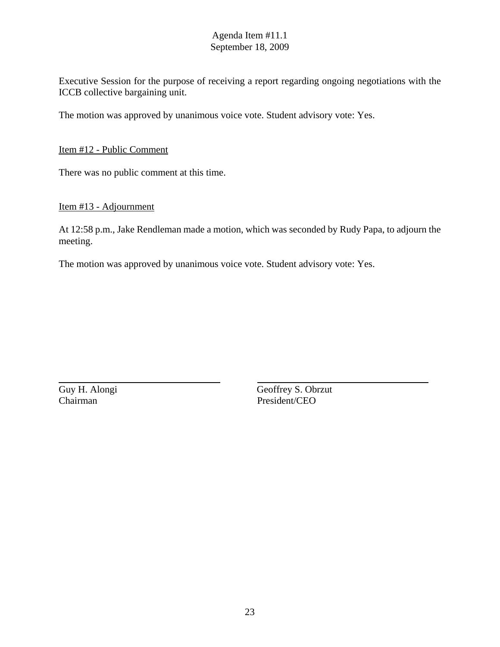Executive Session for the purpose of receiving a report regarding ongoing negotiations with the ICCB collective bargaining unit.

The motion was approved by unanimous voice vote. Student advisory vote: Yes.

Item #12 - Public Comment

There was no public comment at this time.

#### Item #13 - Adjournment

At 12:58 p.m., Jake Rendleman made a motion, which was seconded by Rudy Papa, to adjourn the meeting.

The motion was approved by unanimous voice vote. Student advisory vote: Yes.

Chairman President/CEO

Guy H. Alongi Geoffrey S. Obrzut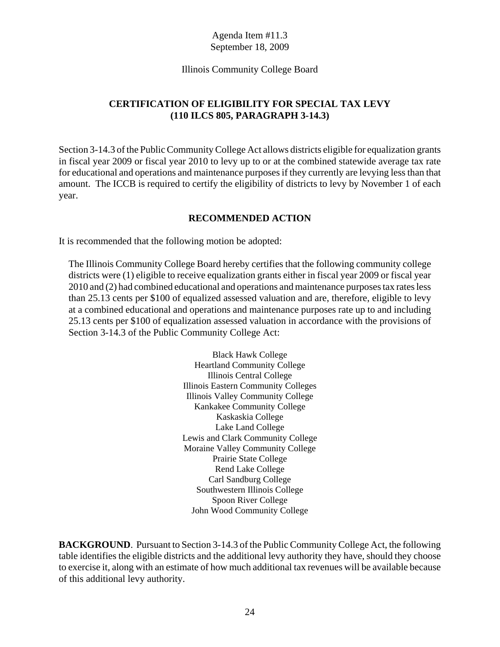#### Illinois Community College Board

# **CERTIFICATION OF ELIGIBILITY FOR SPECIAL TAX LEVY (110 ILCS 805, PARAGRAPH 3-14.3)**

Section 3-14.3 of the Public Community College Act allows districts eligible for equalization grants in fiscal year 2009 or fiscal year 2010 to levy up to or at the combined statewide average tax rate for educational and operations and maintenance purposes if they currently are levying less than that amount. The ICCB is required to certify the eligibility of districts to levy by November 1 of each year.

### **RECOMMENDED ACTION**

It is recommended that the following motion be adopted:

The Illinois Community College Board hereby certifies that the following community college districts were (1) eligible to receive equalization grants either in fiscal year 2009 or fiscal year 2010 and (2) had combined educational and operations and maintenance purposes tax rates less than 25.13 cents per \$100 of equalized assessed valuation and are, therefore, eligible to levy at a combined educational and operations and maintenance purposes rate up to and including 25.13 cents per \$100 of equalization assessed valuation in accordance with the provisions of Section 3-14.3 of the Public Community College Act:

> Black Hawk College Heartland Community College Illinois Central College Illinois Eastern Community Colleges Illinois Valley Community College Kankakee Community College Kaskaskia College Lake Land College Lewis and Clark Community College Moraine Valley Community College Prairie State College Rend Lake College Carl Sandburg College Southwestern Illinois College Spoon River College John Wood Community College

**BACKGROUND**. Pursuant to Section 3-14.3 of the Public Community College Act, the following table identifies the eligible districts and the additional levy authority they have, should they choose to exercise it, along with an estimate of how much additional tax revenues will be available because of this additional levy authority.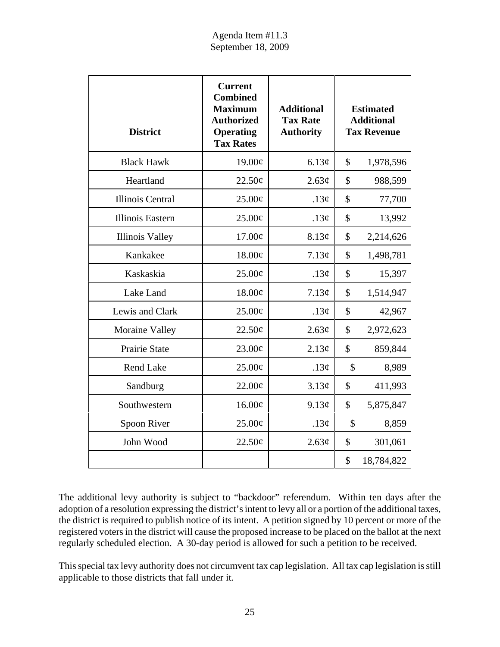| <b>District</b>         | <b>Current</b><br><b>Combined</b><br><b>Maximum</b><br><b>Authorized</b><br><b>Operating</b><br><b>Tax Rates</b> | <b>Additional</b><br><b>Tax Rate</b><br><b>Authority</b> |               | <b>Estimated</b><br><b>Additional</b><br><b>Tax Revenue</b> |
|-------------------------|------------------------------------------------------------------------------------------------------------------|----------------------------------------------------------|---------------|-------------------------------------------------------------|
| <b>Black Hawk</b>       | 19.00¢                                                                                                           | 6.13¢                                                    | \$            | 1,978,596                                                   |
| Heartland               | 22.50¢                                                                                                           | 2.63¢                                                    | \$            | 988,599                                                     |
| <b>Illinois Central</b> | 25.00¢                                                                                                           | .13 $\phi$                                               | \$            | 77,700                                                      |
| Illinois Eastern        | 25.00¢                                                                                                           | .13 $\phi$                                               | \$            | 13,992                                                      |
| <b>Illinois Valley</b>  | $17.00\text{\textdegree}$                                                                                        | 8.13¢                                                    | \$            | 2,214,626                                                   |
| Kankakee                | 18.00¢                                                                                                           | 7.13¢                                                    | \$            | 1,498,781                                                   |
| Kaskaskia               | 25.00¢                                                                                                           | .13 $\phi$                                               | \$            | 15,397                                                      |
| Lake Land               | 18.00¢                                                                                                           | 7.13¢                                                    | \$            | 1,514,947                                                   |
| Lewis and Clark         | 25.00¢                                                                                                           | .13 $\phi$                                               | \$            | 42,967                                                      |
| <b>Moraine Valley</b>   | 22.50¢                                                                                                           | 2.63¢                                                    | \$            | 2,972,623                                                   |
| Prairie State           | $23.00\text{¢}$                                                                                                  | 2.13¢                                                    | $\mathcal{S}$ | 859,844                                                     |
| Rend Lake               | 25.00¢                                                                                                           | .13 $\phi$                                               | \$            | 8,989                                                       |
| Sandburg                | 22.00¢                                                                                                           | 3.13¢                                                    | \$            | 411,993                                                     |
| Southwestern            | 16.00¢                                                                                                           | 9.13¢                                                    | \$            | 5,875,847                                                   |
| Spoon River             | 25.00¢                                                                                                           | .13 $\phi$                                               | \$            | 8,859                                                       |
| John Wood               | 22.50¢                                                                                                           | 2.63¢                                                    | \$            | 301,061                                                     |
|                         |                                                                                                                  |                                                          | \$            | 18,784,822                                                  |

The additional levy authority is subject to "backdoor" referendum. Within ten days after the adoption of a resolution expressing the district's intent to levy all or a portion of the additional taxes, the district is required to publish notice of its intent. A petition signed by 10 percent or more of the registered voters in the district will cause the proposed increase to be placed on the ballot at the next regularly scheduled election. A 30-day period is allowed for such a petition to be received.

This special tax levy authority does not circumvent tax cap legislation. All tax cap legislation is still applicable to those districts that fall under it.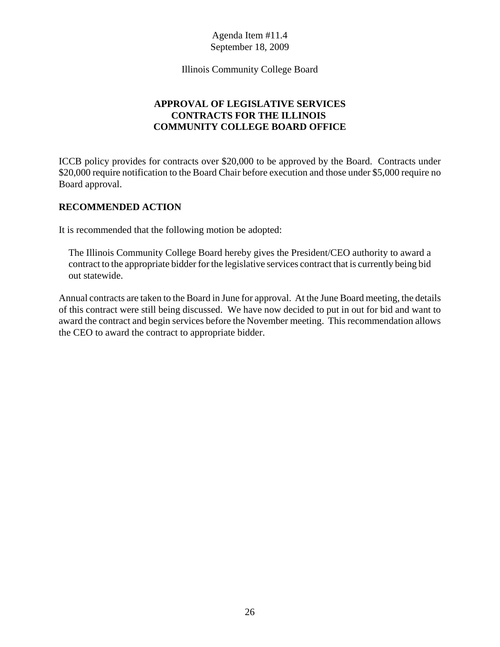Illinois Community College Board

# **APPROVAL OF LEGISLATIVE SERVICES CONTRACTS FOR THE ILLINOIS COMMUNITY COLLEGE BOARD OFFICE**

ICCB policy provides for contracts over \$20,000 to be approved by the Board. Contracts under \$20,000 require notification to the Board Chair before execution and those under \$5,000 require no Board approval.

# **RECOMMENDED ACTION**

It is recommended that the following motion be adopted:

The Illinois Community College Board hereby gives the President/CEO authority to award a contract to the appropriate bidder for the legislative services contract that is currently being bid out statewide.

Annual contracts are taken to the Board in June for approval. At the June Board meeting, the details of this contract were still being discussed. We have now decided to put in out for bid and want to award the contract and begin services before the November meeting. This recommendation allows the CEO to award the contract to appropriate bidder.